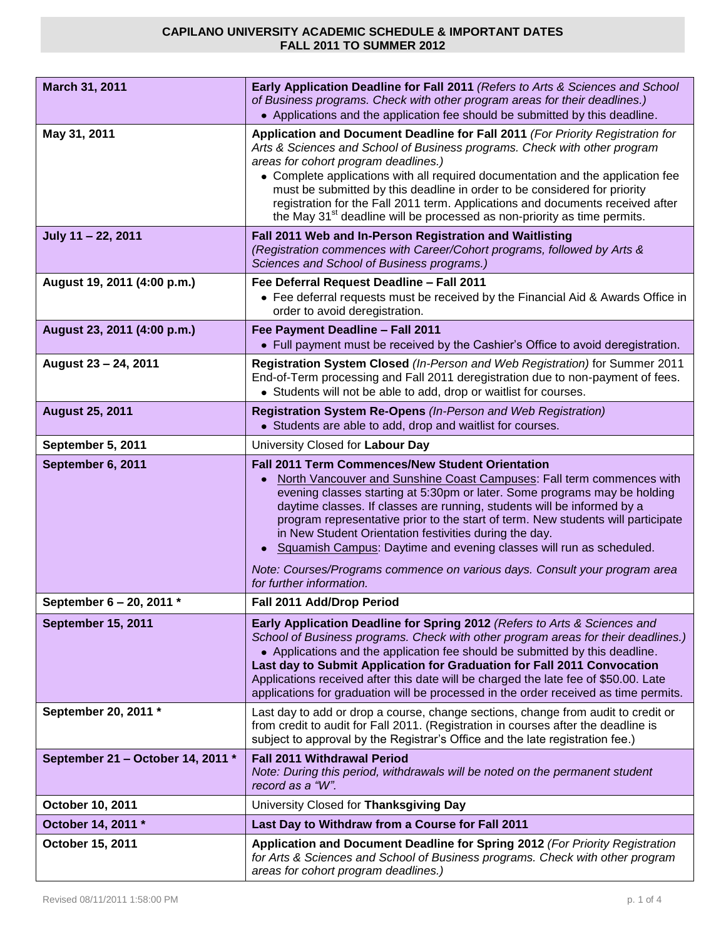| March 31, 2011                    | <b>Early Application Deadline for Fall 2011 (Refers to Arts &amp; Sciences and School</b><br>of Business programs. Check with other program areas for their deadlines.)<br>• Applications and the application fee should be submitted by this deadline.                                                                                                                                                                                                                                                                                       |
|-----------------------------------|-----------------------------------------------------------------------------------------------------------------------------------------------------------------------------------------------------------------------------------------------------------------------------------------------------------------------------------------------------------------------------------------------------------------------------------------------------------------------------------------------------------------------------------------------|
| May 31, 2011                      | Application and Document Deadline for Fall 2011 (For Priority Registration for<br>Arts & Sciences and School of Business programs. Check with other program<br>areas for cohort program deadlines.)<br>• Complete applications with all required documentation and the application fee<br>must be submitted by this deadline in order to be considered for priority<br>registration for the Fall 2011 term. Applications and documents received after<br>the May 31 <sup>st</sup> deadline will be processed as non-priority as time permits. |
| July 11 - 22, 2011                | Fall 2011 Web and In-Person Registration and Waitlisting<br>(Registration commences with Career/Cohort programs, followed by Arts &<br>Sciences and School of Business programs.)                                                                                                                                                                                                                                                                                                                                                             |
| August 19, 2011 (4:00 p.m.)       | Fee Deferral Request Deadline - Fall 2011<br>• Fee deferral requests must be received by the Financial Aid & Awards Office in<br>order to avoid deregistration.                                                                                                                                                                                                                                                                                                                                                                               |
| August 23, 2011 (4:00 p.m.)       | Fee Payment Deadline - Fall 2011<br>• Full payment must be received by the Cashier's Office to avoid deregistration.                                                                                                                                                                                                                                                                                                                                                                                                                          |
| August 23 - 24, 2011              | Registration System Closed (In-Person and Web Registration) for Summer 2011<br>End-of-Term processing and Fall 2011 deregistration due to non-payment of fees.<br>• Students will not be able to add, drop or waitlist for courses.                                                                                                                                                                                                                                                                                                           |
| <b>August 25, 2011</b>            | Registration System Re-Opens (In-Person and Web Registration)<br>• Students are able to add, drop and waitlist for courses.                                                                                                                                                                                                                                                                                                                                                                                                                   |
| September 5, 2011                 | University Closed for Labour Day                                                                                                                                                                                                                                                                                                                                                                                                                                                                                                              |
| September 6, 2011                 | <b>Fall 2011 Term Commences/New Student Orientation</b><br>North Vancouver and Sunshine Coast Campuses: Fall term commences with<br>evening classes starting at 5:30pm or later. Some programs may be holding<br>daytime classes. If classes are running, students will be informed by a<br>program representative prior to the start of term. New students will participate<br>in New Student Orientation festivities during the day.<br>Squamish Campus: Daytime and evening classes will run as scheduled.                                 |
|                                   | Note: Courses/Programs commence on various days. Consult your program area<br>for further information.                                                                                                                                                                                                                                                                                                                                                                                                                                        |
| September 6 - 20, 2011 *          | Fall 2011 Add/Drop Period                                                                                                                                                                                                                                                                                                                                                                                                                                                                                                                     |
| September 15, 2011                | Early Application Deadline for Spring 2012 (Refers to Arts & Sciences and<br>School of Business programs. Check with other program areas for their deadlines.)<br>• Applications and the application fee should be submitted by this deadline.<br>Last day to Submit Application for Graduation for Fall 2011 Convocation<br>Applications received after this date will be charged the late fee of \$50.00. Late<br>applications for graduation will be processed in the order received as time permits.                                      |
| September 20, 2011 *              | Last day to add or drop a course, change sections, change from audit to credit or<br>from credit to audit for Fall 2011. (Registration in courses after the deadline is<br>subject to approval by the Registrar's Office and the late registration fee.)                                                                                                                                                                                                                                                                                      |
| September 21 - October 14, 2011 * | <b>Fall 2011 Withdrawal Period</b><br>Note: During this period, withdrawals will be noted on the permanent student<br>record as a "W".                                                                                                                                                                                                                                                                                                                                                                                                        |
| October 10, 2011                  | University Closed for Thanksgiving Day                                                                                                                                                                                                                                                                                                                                                                                                                                                                                                        |
| October 14, 2011 *                | Last Day to Withdraw from a Course for Fall 2011                                                                                                                                                                                                                                                                                                                                                                                                                                                                                              |
| October 15, 2011                  | Application and Document Deadline for Spring 2012 (For Priority Registration<br>for Arts & Sciences and School of Business programs. Check with other program<br>areas for cohort program deadlines.)                                                                                                                                                                                                                                                                                                                                         |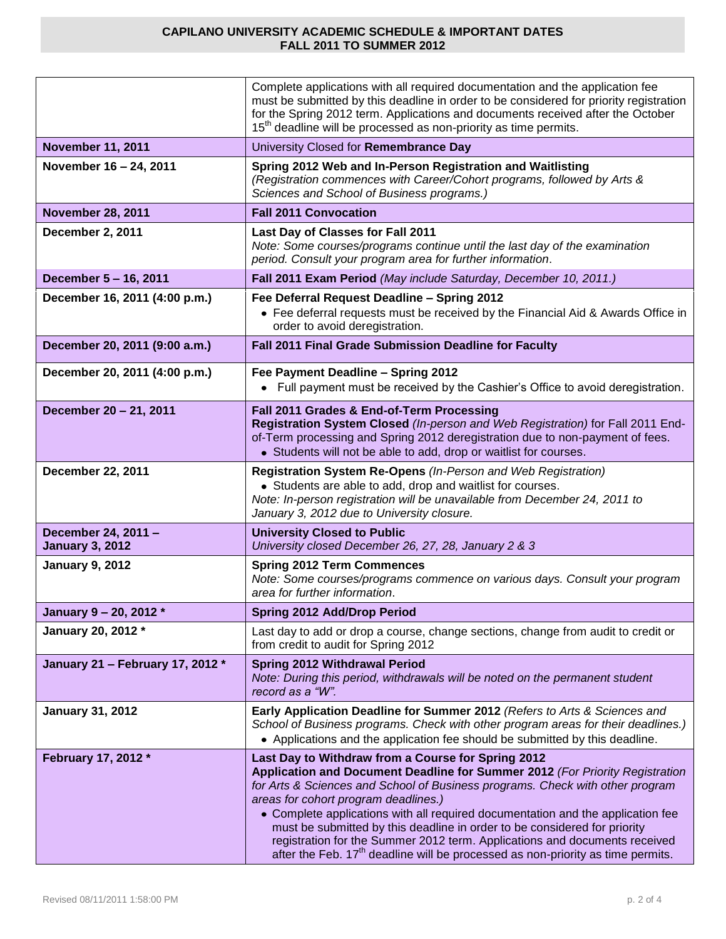|                                               | Complete applications with all required documentation and the application fee<br>must be submitted by this deadline in order to be considered for priority registration<br>for the Spring 2012 term. Applications and documents received after the October<br>15 <sup>th</sup> deadline will be processed as non-priority as time permits.                                                                                                                                                                                                                                                     |
|-----------------------------------------------|------------------------------------------------------------------------------------------------------------------------------------------------------------------------------------------------------------------------------------------------------------------------------------------------------------------------------------------------------------------------------------------------------------------------------------------------------------------------------------------------------------------------------------------------------------------------------------------------|
| <b>November 11, 2011</b>                      | University Closed for Remembrance Day                                                                                                                                                                                                                                                                                                                                                                                                                                                                                                                                                          |
| November 16 - 24, 2011                        | Spring 2012 Web and In-Person Registration and Waitlisting<br>(Registration commences with Career/Cohort programs, followed by Arts &<br>Sciences and School of Business programs.)                                                                                                                                                                                                                                                                                                                                                                                                            |
| <b>November 28, 2011</b>                      | <b>Fall 2011 Convocation</b>                                                                                                                                                                                                                                                                                                                                                                                                                                                                                                                                                                   |
| December 2, 2011                              | Last Day of Classes for Fall 2011<br>Note: Some courses/programs continue until the last day of the examination<br>period. Consult your program area for further information.                                                                                                                                                                                                                                                                                                                                                                                                                  |
| December 5 - 16, 2011                         | Fall 2011 Exam Period (May include Saturday, December 10, 2011.)                                                                                                                                                                                                                                                                                                                                                                                                                                                                                                                               |
| December 16, 2011 (4:00 p.m.)                 | Fee Deferral Request Deadline - Spring 2012<br>• Fee deferral requests must be received by the Financial Aid & Awards Office in<br>order to avoid deregistration.                                                                                                                                                                                                                                                                                                                                                                                                                              |
| December 20, 2011 (9:00 a.m.)                 | Fall 2011 Final Grade Submission Deadline for Faculty                                                                                                                                                                                                                                                                                                                                                                                                                                                                                                                                          |
| December 20, 2011 (4:00 p.m.)                 | Fee Payment Deadline - Spring 2012<br>• Full payment must be received by the Cashier's Office to avoid deregistration.                                                                                                                                                                                                                                                                                                                                                                                                                                                                         |
| December 20 - 21, 2011                        | Fall 2011 Grades & End-of-Term Processing<br>Registration System Closed (In-person and Web Registration) for Fall 2011 End-<br>of-Term processing and Spring 2012 deregistration due to non-payment of fees.<br>• Students will not be able to add, drop or waitlist for courses.                                                                                                                                                                                                                                                                                                              |
| December 22, 2011                             | Registration System Re-Opens (In-Person and Web Registration)<br>• Students are able to add, drop and waitlist for courses.<br>Note: In-person registration will be unavailable from December 24, 2011 to<br>January 3, 2012 due to University closure.                                                                                                                                                                                                                                                                                                                                        |
| December 24, 2011 -<br><b>January 3, 2012</b> | <b>University Closed to Public</b><br>University closed December 26, 27, 28, January 2 & 3                                                                                                                                                                                                                                                                                                                                                                                                                                                                                                     |
| <b>January 9, 2012</b>                        | <b>Spring 2012 Term Commences</b><br>Note: Some courses/programs commence on various days. Consult your program<br>area for further information.                                                                                                                                                                                                                                                                                                                                                                                                                                               |
| January 9 - 20, 2012 *                        | <b>Spring 2012 Add/Drop Period</b>                                                                                                                                                                                                                                                                                                                                                                                                                                                                                                                                                             |
| January 20, 2012 *                            | Last day to add or drop a course, change sections, change from audit to credit or<br>from credit to audit for Spring 2012                                                                                                                                                                                                                                                                                                                                                                                                                                                                      |
| January 21 - February 17, 2012 *              | <b>Spring 2012 Withdrawal Period</b><br>Note: During this period, withdrawals will be noted on the permanent student<br>record as a "W".                                                                                                                                                                                                                                                                                                                                                                                                                                                       |
| <b>January 31, 2012</b>                       | Early Application Deadline for Summer 2012 (Refers to Arts & Sciences and<br>School of Business programs. Check with other program areas for their deadlines.)<br>• Applications and the application fee should be submitted by this deadline.                                                                                                                                                                                                                                                                                                                                                 |
| February 17, 2012 *                           | Last Day to Withdraw from a Course for Spring 2012<br>Application and Document Deadline for Summer 2012 (For Priority Registration<br>for Arts & Sciences and School of Business programs. Check with other program<br>areas for cohort program deadlines.)<br>• Complete applications with all required documentation and the application fee<br>must be submitted by this deadline in order to be considered for priority<br>registration for the Summer 2012 term. Applications and documents received<br>after the Feb. $17th$ deadline will be processed as non-priority as time permits. |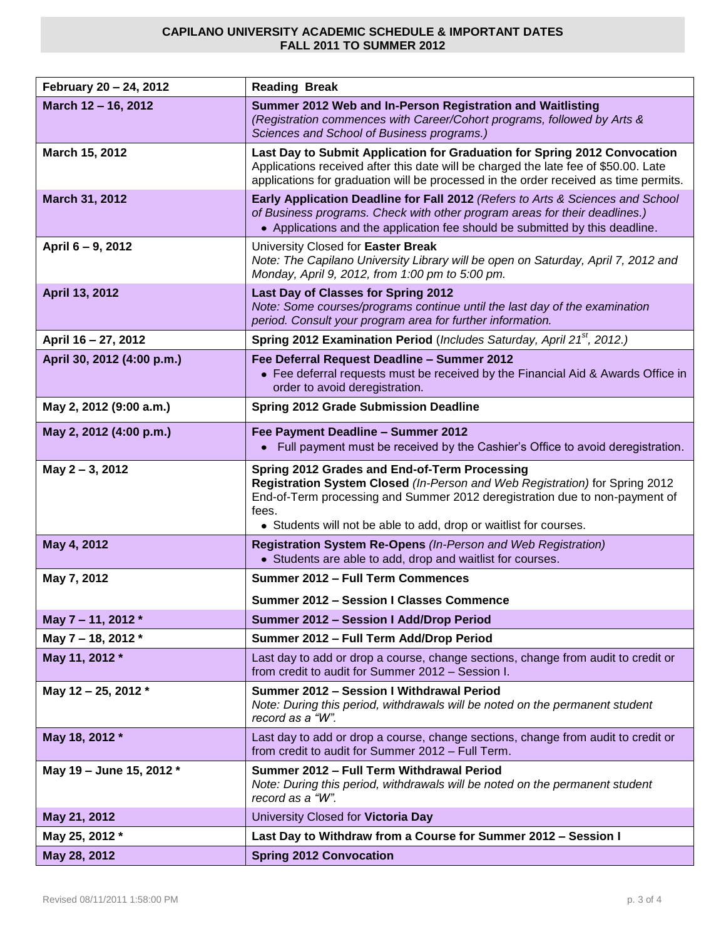| February 20 - 24, 2012     | <b>Reading Break</b>                                                                                                                                                                                                                                                                      |
|----------------------------|-------------------------------------------------------------------------------------------------------------------------------------------------------------------------------------------------------------------------------------------------------------------------------------------|
| March 12 - 16, 2012        | Summer 2012 Web and In-Person Registration and Waitlisting<br>(Registration commences with Career/Cohort programs, followed by Arts &<br>Sciences and School of Business programs.)                                                                                                       |
| March 15, 2012             | Last Day to Submit Application for Graduation for Spring 2012 Convocation<br>Applications received after this date will be charged the late fee of \$50.00. Late<br>applications for graduation will be processed in the order received as time permits.                                  |
| March 31, 2012             | Early Application Deadline for Fall 2012 (Refers to Arts & Sciences and School<br>of Business programs. Check with other program areas for their deadlines.)<br>• Applications and the application fee should be submitted by this deadline.                                              |
| April 6 - 9, 2012          | University Closed for Easter Break<br>Note: The Capilano University Library will be open on Saturday, April 7, 2012 and<br>Monday, April 9, 2012, from 1:00 pm to 5:00 pm.                                                                                                                |
| April 13, 2012             | Last Day of Classes for Spring 2012<br>Note: Some courses/programs continue until the last day of the examination<br>period. Consult your program area for further information.                                                                                                           |
| April 16 - 27, 2012        | Spring 2012 Examination Period (Includes Saturday, April 21 <sup>st</sup> , 2012.)                                                                                                                                                                                                        |
| April 30, 2012 (4:00 p.m.) | Fee Deferral Request Deadline - Summer 2012<br>• Fee deferral requests must be received by the Financial Aid & Awards Office in<br>order to avoid deregistration.                                                                                                                         |
| May 2, 2012 (9:00 a.m.)    | <b>Spring 2012 Grade Submission Deadline</b>                                                                                                                                                                                                                                              |
| May 2, 2012 (4:00 p.m.)    | Fee Payment Deadline - Summer 2012<br>Full payment must be received by the Cashier's Office to avoid deregistration.                                                                                                                                                                      |
| May 2-3, 2012              | Spring 2012 Grades and End-of-Term Processing<br>Registration System Closed (In-Person and Web Registration) for Spring 2012<br>End-of-Term processing and Summer 2012 deregistration due to non-payment of<br>fees.<br>• Students will not be able to add, drop or waitlist for courses. |
| May 4, 2012                | Registration System Re-Opens (In-Person and Web Registration)<br>• Students are able to add, drop and waitlist for courses.                                                                                                                                                               |
| May 7, 2012                | Summer 2012 - Full Term Commences                                                                                                                                                                                                                                                         |
|                            | <b>Summer 2012 - Session I Classes Commence</b>                                                                                                                                                                                                                                           |
| May 7 - 11, 2012 *         | Summer 2012 - Session I Add/Drop Period                                                                                                                                                                                                                                                   |
| May 7 - 18, 2012 *         | Summer 2012 - Full Term Add/Drop Period                                                                                                                                                                                                                                                   |
| May 11, 2012 *             | Last day to add or drop a course, change sections, change from audit to credit or<br>from credit to audit for Summer 2012 - Session I.                                                                                                                                                    |
| May 12 - 25, 2012 *        | Summer 2012 - Session I Withdrawal Period<br>Note: During this period, withdrawals will be noted on the permanent student<br>record as a "W".                                                                                                                                             |
| May 18, 2012 *             | Last day to add or drop a course, change sections, change from audit to credit or<br>from credit to audit for Summer 2012 - Full Term.                                                                                                                                                    |
| May 19 - June 15, 2012 *   | Summer 2012 - Full Term Withdrawal Period<br>Note: During this period, withdrawals will be noted on the permanent student<br>record as a "W".                                                                                                                                             |
| May 21, 2012               | University Closed for Victoria Day                                                                                                                                                                                                                                                        |
| May 25, 2012 *             | Last Day to Withdraw from a Course for Summer 2012 - Session I                                                                                                                                                                                                                            |
| May 28, 2012               | <b>Spring 2012 Convocation</b>                                                                                                                                                                                                                                                            |